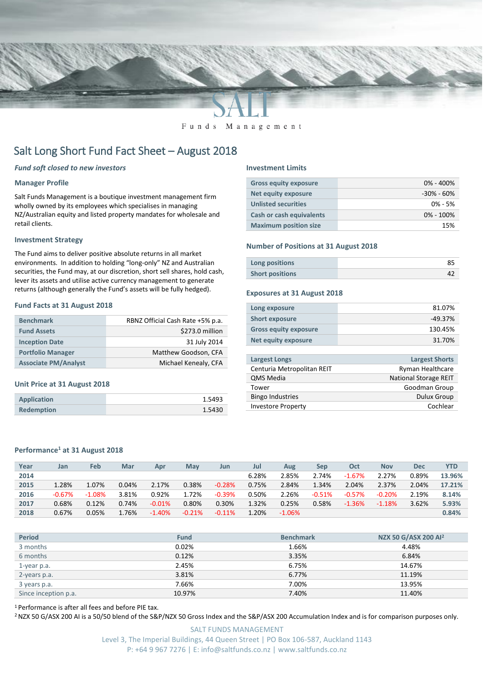

Funds Management

# Salt Long Short Fund Fact Sheet – August 2018

# *Fund soft closed to new investors*

# **Manager Profile**

Salt Funds Management is a boutique investment management firm wholly owned by its employees which specialises in managing NZ/Australian equity and listed property mandates for wholesale and retail clients.

# **Investment Strategy**

The Fund aims to deliver positive absolute returns in all market environments. In addition to holding "long-only" NZ and Australian securities, the Fund may, at our discretion, short sell shares, hold cash, lever its assets and utilise active currency management to generate returns (although generally the Fund's assets will be fully hedged).

# **Fund Facts at 31 August 2018**

| <b>Benchmark</b>            | RBNZ Official Cash Rate +5% p.a. |  |  |  |  |
|-----------------------------|----------------------------------|--|--|--|--|
| <b>Fund Assets</b>          | \$273.0 million                  |  |  |  |  |
| <b>Inception Date</b>       | 31 July 2014                     |  |  |  |  |
| <b>Portfolio Manager</b>    | Matthew Goodson, CFA             |  |  |  |  |
| <b>Associate PM/Analyst</b> | Michael Kenealy, CFA             |  |  |  |  |

### **Unit Price at 31 August 2018**

| <b>Application</b> | 1.5493 |
|--------------------|--------|
| <b>Redemption</b>  | 1.5430 |

#### **Investment Limits**

| <b>Gross equity exposure</b>    | $0\% - 400\%$  |
|---------------------------------|----------------|
| Net equity exposure             | $-30\% - 60\%$ |
| <b>Unlisted securities</b>      | $0\% - 5\%$    |
| <b>Cash or cash equivalents</b> | $0\% - 100\%$  |
| <b>Maximum position size</b>    | 15%            |

# **Number of Positions at 31 August 2018**

| Long positions         |  |
|------------------------|--|
| <b>Short positions</b> |  |

#### **Exposures at 31 August 2018**

| Long exposure                | 81.07%  |
|------------------------------|---------|
| <b>Short exposure</b>        | -49.37% |
| <b>Gross equity exposure</b> | 130.45% |
| <b>Net equity exposure</b>   | 31.70%  |

| <b>Largest Longs</b>       | <b>Largest Shorts</b>        |
|----------------------------|------------------------------|
| Centuria Metropolitan REIT | Ryman Healthcare             |
| <b>QMS Media</b>           | <b>National Storage REIT</b> |
| Tower                      | Goodman Group                |
| <b>Bingo Industries</b>    | <b>Dulux Group</b>           |
| <b>Investore Property</b>  | Cochlear                     |
|                            |                              |

# **Performance<sup>1</sup> at 31 August 2018**

| Year | Jan      | Feb      | Mar   | Apr       | May      | Jun      | Jul   | Aug       | Sep      | Oct      | <b>Nov</b> | <b>Dec</b> | YTD    |
|------|----------|----------|-------|-----------|----------|----------|-------|-----------|----------|----------|------------|------------|--------|
| 2014 |          |          |       |           |          |          | 6.28% | 2.85%     | 2.74%    | $-1.67%$ | 2.27%      | 0.89%      | 13.96% |
| 2015 | 1.28%    | 1.07%    | 0.04% | 2.17%     | 0.38%    | $-0.28%$ | 0.75% | 2.84%     | 1.34%    | 2.04%    | 2.37%      | 2.04%      | 17.21% |
| 2016 | $-0.67%$ | $-1.08%$ | 3.81% | 0.92%     | 1.72%    | $-0.39%$ | 0.50% | 2.26%     | $-0.51%$ | $-0.57%$ | $-0.20%$   | 2.19%      | 8.14%  |
| 2017 | 0.68%    | 0.12%    | 0.74% | $-0.01\%$ | 0.80%    | 0.30%    | 1.32% | 0.25%     | 0.58%    | $-1.36%$ | $-1.18%$   | 3.62%      | 5.93%  |
| 2018 | 0.67%    | 0.05%    | 1.76% | $-1.40%$  | $-0.21%$ | $-0.11%$ | 1.20% | $-1.06\%$ |          |          |            |            | 0.84%  |

| <b>Period</b>        | <b>Fund</b> | <b>Benchmark</b> | NZX 50 G/ASX 200 Al <sup>2</sup> |
|----------------------|-------------|------------------|----------------------------------|
| 3 months             | 0.02%       | 1.66%            | 4.48%                            |
| 6 months             | 0.12%       | 3.35%            | 6.84%                            |
| 1-year p.a.          | 2.45%       | 6.75%            | 14.67%                           |
| 2-years p.a.         | 3.81%       | 6.77%            | 11.19%                           |
| 3 years p.a.         | 7.66%       | 7.00%            | 13.95%                           |
| Since inception p.a. | 10.97%      | 7.40%            | 11.40%                           |

<sup>1</sup> Performance is after all fees and before PIE tax.

<sup>2</sup> NZX 50 G/ASX 200 AI is a 50/50 blend of the S&P/NZX 50 Gross Index and the S&P/ASX 200 Accumulation Index and is for comparison purposes only.

SALT FUNDS MANAGEMENT Level 3, The Imperial Buildings, 44 Queen Street | PO Box 106-587, Auckland 1143 P: +64 9 967 7276 | E: info@saltfunds.co.nz | www.saltfunds.co.nz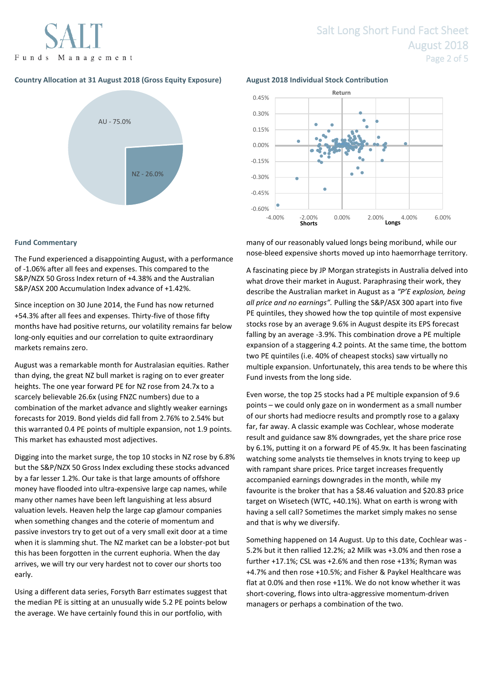Funds Management

# **Country Allocation at 31 August 2018 (Gross Equity Exposure) August 2018 Individual Stock Contribution**



# **Fund Commentary**

The Fund experienced a disappointing August, with a performance of -1.06% after all fees and expenses. This compared to the S&P/NZX 50 Gross Index return of +4.38% and the Australian S&P/ASX 200 Accumulation Index advance of +1.42%.

Since inception on 30 June 2014, the Fund has now returned +54.3% after all fees and expenses. Thirty-five of those fifty months have had positive returns, our volatility remains far below long-only equities and our correlation to quite extraordinary markets remains zero.

August was a remarkable month for Australasian equities. Rather than dying, the great NZ bull market is raging on to ever greater heights. The one year forward PE for NZ rose from 24.7x to a scarcely believable 26.6x (using FNZC numbers) due to a combination of the market advance and slightly weaker earnings forecasts for 2019. Bond yields did fall from 2.76% to 2.54% but this warranted 0.4 PE points of multiple expansion, not 1.9 points. This market has exhausted most adjectives.

Digging into the market surge, the top 10 stocks in NZ rose by 6.8% but the S&P/NZX 50 Gross Index excluding these stocks advanced by a far lesser 1.2%. Our take is that large amounts of offshore money have flooded into ultra-expensive large cap names, while many other names have been left languishing at less absurd valuation levels. Heaven help the large cap glamour companies when something changes and the coterie of momentum and passive investors try to get out of a very small exit door at a time when it is slamming shut. The NZ market can be a lobster-pot but this has been forgotten in the current euphoria. When the day arrives, we will try our very hardest not to cover our shorts too early.

Using a different data series, Forsyth Barr estimates suggest that the median PE is sitting at an unusually wide 5.2 PE points below the average. We have certainly found this in our portfolio, with



many of our reasonably valued longs being moribund, while our nose-bleed expensive shorts moved up into haemorrhage territory.

A fascinating piece by JP Morgan strategists in Australia delved into what drove their market in August. Paraphrasing their work, they describe the Australian market in August as a *"P'E explosion, being all price and no earnings".* Pulling the S&P/ASX 300 apart into five PE quintiles, they showed how the top quintile of most expensive stocks rose by an average 9.6% in August despite its EPS forecast falling by an average -3.9%. This combination drove a PE multiple expansion of a staggering 4.2 points. At the same time, the bottom two PE quintiles (i.e. 40% of cheapest stocks) saw virtually no multiple expansion. Unfortunately, this area tends to be where this Fund invests from the long side.

Even worse, the top 25 stocks had a PE multiple expansion of 9.6 points – we could only gaze on in wonderment as a small number of our shorts had mediocre results and promptly rose to a galaxy far, far away. A classic example was Cochlear, whose moderate result and guidance saw 8% downgrades, yet the share price rose by 6.1%, putting it on a forward PE of 45.9x. It has been fascinating watching some analysts tie themselves in knots trying to keep up with rampant share prices. Price target increases frequently accompanied earnings downgrades in the month, while my favourite is the broker that has a \$8.46 valuation and \$20.83 price target on Wisetech (WTC, +40.1%). What on earth is wrong with having a sell call? Sometimes the market simply makes no sense and that is why we diversify.

Something happened on 14 August. Up to this date, Cochlear was - 5.2% but it then rallied 12.2%; a2 Milk was +3.0% and then rose a further +17.1%; CSL was +2.6% and then rose +13%; Ryman was +4.7% and then rose +10.5%; and Fisher & Paykel Healthcare was flat at 0.0% and then rose +11%. We do not know whether it was short-covering, flows into ultra-aggressive momentum-driven managers or perhaps a combination of the two.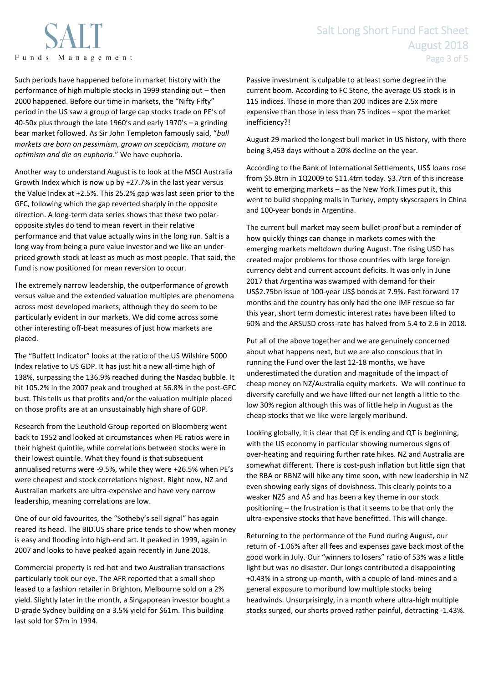

Such periods have happened before in market history with the performance of high multiple stocks in 1999 standing out – then 2000 happened. Before our time in markets, the "Nifty Fifty" period in the US saw a group of large cap stocks trade on PE's of 40-50x plus through the late 1960's and early 1970's – a grinding bear market followed. As Sir John Templeton famously said, "*bull markets are born on pessimism, grown on scepticism, mature on optimism and die on euphoria*." We have euphoria.

Another way to understand August is to look at the MSCI Australia Growth Index which is now up by +27.7% in the last year versus the Value Index at +2.5%. This 25.2% gap was last seen prior to the GFC, following which the gap reverted sharply in the opposite direction. A long-term data series shows that these two polaropposite styles do tend to mean revert in their relative performance and that value actually wins in the long run. Salt is a long way from being a pure value investor and we like an underpriced growth stock at least as much as most people. That said, the Fund is now positioned for mean reversion to occur.

The extremely narrow leadership, the outperformance of growth versus value and the extended valuation multiples are phenomena across most developed markets, although they do seem to be particularly evident in our markets. We did come across some other interesting off-beat measures of just how markets are placed.

The "Buffett Indicator" looks at the ratio of the US Wilshire 5000 Index relative to US GDP. It has just hit a new all-time high of 138%, surpassing the 136.9% reached during the Nasdaq bubble. It hit 105.2% in the 2007 peak and troughed at 56.8% in the post-GFC bust. This tells us that profits and/or the valuation multiple placed on those profits are at an unsustainably high share of GDP.

Research from the Leuthold Group reported on Bloomberg went back to 1952 and looked at circumstances when PE ratios were in their highest quintile, while correlations between stocks were in their lowest quintile. What they found is that subsequent annualised returns were -9.5%, while they were +26.5% when PE's were cheapest and stock correlations highest. Right now, NZ and Australian markets are ultra-expensive and have very narrow leadership, meaning correlations are low.

One of our old favourites, the "Sotheby's sell signal" has again reared its head. The BID.US share price tends to show when money is easy and flooding into high-end art. It peaked in 1999, again in 2007 and looks to have peaked again recently in June 2018.

Commercial property is red-hot and two Australian transactions particularly took our eye. The AFR reported that a small shop leased to a fashion retailer in Brighton, Melbourne sold on a 2% yield. Slightly later in the month, a Singaporean investor bought a D-grade Sydney building on a 3.5% yield for \$61m. This building last sold for \$7m in 1994.

# Salt Long Short Fund Fact Sheet August 2018 Page 3 of 5

Passive investment is culpable to at least some degree in the current boom. According to FC Stone, the average US stock is in 115 indices. Those in more than 200 indices are 2.5x more expensive than those in less than 75 indices – spot the market inefficiency?!

August 29 marked the longest bull market in US history, with there being 3,453 days without a 20% decline on the year.

According to the Bank of International Settlements, US\$ loans rose from \$5.8trn in 1Q2009 to \$11.4trn today. \$3.7trn of this increase went to emerging markets – as the New York Times put it, this went to build shopping malls in Turkey, empty skyscrapers in China and 100-year bonds in Argentina.

The current bull market may seem bullet-proof but a reminder of how quickly things can change in markets comes with the emerging markets meltdown during August. The rising USD has created major problems for those countries with large foreign currency debt and current account deficits. It was only in June 2017 that Argentina was swamped with demand for their US\$2.75bn issue of 100-year US\$ bonds at 7.9%. Fast forward 17 months and the country has only had the one IMF rescue so far this year, short term domestic interest rates have been lifted to 60% and the ARSUSD cross-rate has halved from 5.4 to 2.6 in 2018.

Put all of the above together and we are genuinely concerned about what happens next, but we are also conscious that in running the Fund over the last 12-18 months, we have underestimated the duration and magnitude of the impact of cheap money on NZ/Australia equity markets. We will continue to diversify carefully and we have lifted our net length a little to the low 30% region although this was of little help in August as the cheap stocks that we like were largely moribund.

Looking globally, it is clear that QE is ending and QT is beginning, with the US economy in particular showing numerous signs of over-heating and requiring further rate hikes. NZ and Australia are somewhat different. There is cost-push inflation but little sign that the RBA or RBNZ will hike any time soon, with new leadership in NZ even showing early signs of dovishness. This clearly points to a weaker NZ\$ and A\$ and has been a key theme in our stock positioning – the frustration is that it seems to be that only the ultra-expensive stocks that have benefitted. This will change.

Returning to the performance of the Fund during August, our return of -1.06% after all fees and expenses gave back most of the good work in July. Our "winners to losers" ratio of 53% was a little light but was no disaster. Our longs contributed a disappointing +0.43% in a strong up-month, with a couple of land-mines and a general exposure to moribund low multiple stocks being headwinds. Unsurprisingly, in a month where ultra-high multiple stocks surged, our shorts proved rather painful, detracting -1.43%.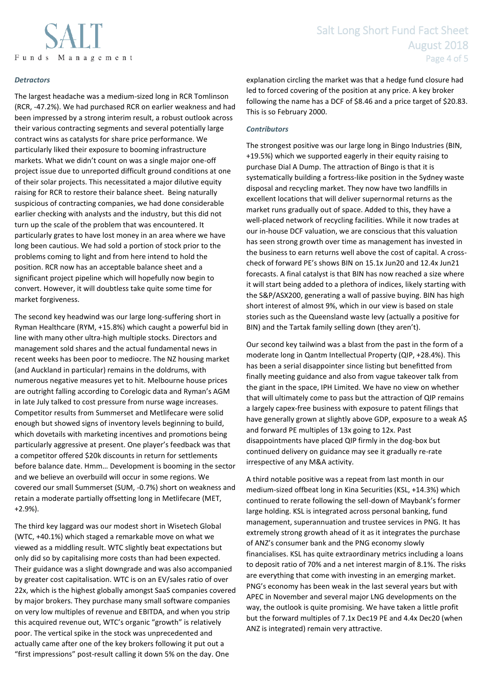

# *Detractors*

The largest headache was a medium-sized long in RCR Tomlinson (RCR, -47.2%). We had purchased RCR on earlier weakness and had been impressed by a strong interim result, a robust outlook across their various contracting segments and several potentially large contract wins as catalysts for share price performance. We particularly liked their exposure to booming infrastructure markets. What we didn't count on was a single major one-off project issue due to unreported difficult ground conditions at one of their solar projects. This necessitated a major dilutive equity raising for RCR to restore their balance sheet. Being naturally suspicious of contracting companies, we had done considerable earlier checking with analysts and the industry, but this did not turn up the scale of the problem that was encountered. It particularly grates to have lost money in an area where we have long been cautious. We had sold a portion of stock prior to the problems coming to light and from here intend to hold the position. RCR now has an acceptable balance sheet and a significant project pipeline which will hopefully now begin to convert. However, it will doubtless take quite some time for market forgiveness.

The second key headwind was our large long-suffering short in Ryman Healthcare (RYM, +15.8%) which caught a powerful bid in line with many other ultra-high multiple stocks. Directors and management sold shares and the actual fundamental news in recent weeks has been poor to mediocre. The NZ housing market (and Auckland in particular) remains in the doldrums, with numerous negative measures yet to hit. Melbourne house prices are outright falling according to Corelogic data and Ryman's AGM in late July talked to cost pressure from nurse wage increases. Competitor results from Summerset and Metlifecare were solid enough but showed signs of inventory levels beginning to build, which dovetails with marketing incentives and promotions being particularly aggressive at present. One player's feedback was that a competitor offered \$20k discounts in return for settlements before balance date. Hmm… Development is booming in the sector and we believe an overbuild will occur in some regions. We covered our small Summerset (SUM, -0.7%) short on weakness and retain a moderate partially offsetting long in Metlifecare (MET, +2.9%).

The third key laggard was our modest short in Wisetech Global (WTC, +40.1%) which staged a remarkable move on what we viewed as a middling result. WTC slightly beat expectations but only did so by capitalising more costs than had been expected. Their guidance was a slight downgrade and was also accompanied by greater cost capitalisation. WTC is on an EV/sales ratio of over 22x, which is the highest globally amongst SaaS companies covered by major brokers. They purchase many small software companies on very low multiples of revenue and EBITDA, and when you strip this acquired revenue out, WTC's organic "growth" is relatively poor. The vertical spike in the stock was unprecedented and actually came after one of the key brokers following it put out a "first impressions" post-result calling it down 5% on the day. One

explanation circling the market was that a hedge fund closure had led to forced covering of the position at any price. A key broker following the name has a DCF of \$8.46 and a price target of \$20.83. This is so February 2000.

# *Contributors*

The strongest positive was our large long in Bingo Industries (BIN, +19.5%) which we supported eagerly in their equity raising to purchase Dial A Dump. The attraction of Bingo is that it is systematically building a fortress-like position in the Sydney waste disposal and recycling market. They now have two landfills in excellent locations that will deliver supernormal returns as the market runs gradually out of space. Added to this, they have a well-placed network of recycling facilities. While it now trades at our in-house DCF valuation, we are conscious that this valuation has seen strong growth over time as management has invested in the business to earn returns well above the cost of capital. A crosscheck of forward PE's shows BIN on 15.1x Jun20 and 12.4x Jun21 forecasts. A final catalyst is that BIN has now reached a size where it will start being added to a plethora of indices, likely starting with the S&P/ASX200, generating a wall of passive buying. BIN has high short interest of almost 9%, which in our view is based on stale stories such as the Queensland waste levy (actually a positive for BIN) and the Tartak family selling down (they aren't).

Our second key tailwind was a blast from the past in the form of a moderate long in Qantm Intellectual Property (QIP, +28.4%). This has been a serial disappointer since listing but benefitted from finally meeting guidance and also from vague takeover talk from the giant in the space, IPH Limited. We have no view on whether that will ultimately come to pass but the attraction of QIP remains a largely capex-free business with exposure to patent filings that have generally grown at slightly above GDP, exposure to a weak A\$ and forward PE multiples of 13x going to 12x. Past disappointments have placed QIP firmly in the dog-box but continued delivery on guidance may see it gradually re-rate irrespective of any M&A activity.

A third notable positive was a repeat from last month in our medium-sized offbeat long in Kina Securities (KSL, +14.3%) which continued to rerate following the sell-down of Maybank's former large holding. KSL is integrated across personal banking, fund management, superannuation and trustee services in PNG. It has extremely strong growth ahead of it as it integrates the purchase of ANZ's consumer bank and the PNG economy slowly financialises. KSL has quite extraordinary metrics including a loans to deposit ratio of 70% and a net interest margin of 8.1%. The risks are everything that come with investing in an emerging market. PNG's economy has been weak in the last several years but with APEC in November and several major LNG developments on the way, the outlook is quite promising. We have taken a little profit but the forward multiples of 7.1x Dec19 PE and 4.4x Dec20 (when ANZ is integrated) remain very attractive.